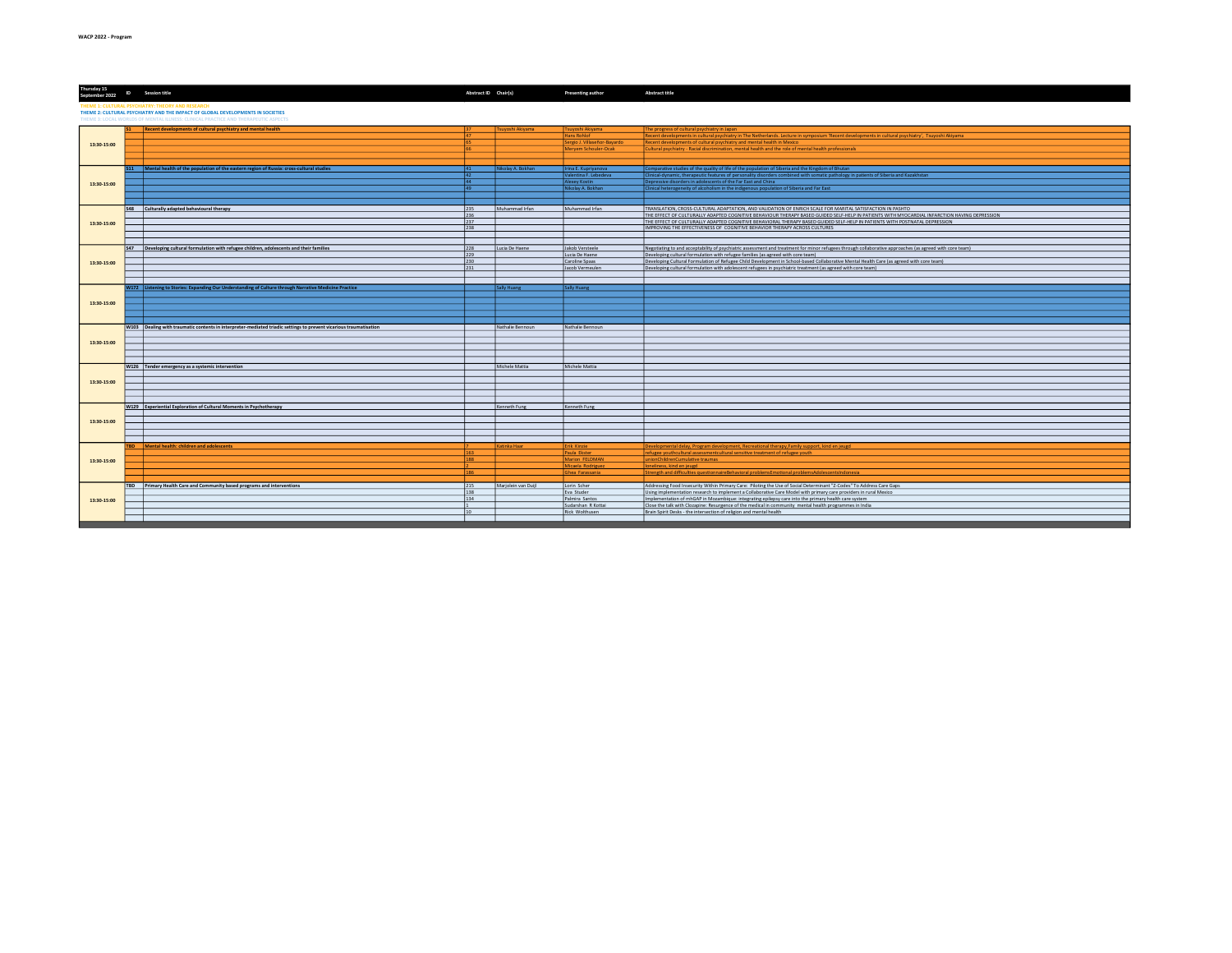| Thursday 15<br>September 2022 1D Session title                                                                                                                        |  |                                                                                                                   | Abstract ID Chair(s) |                     | Presenting author                      | <b>Abstract title</b>                                                                                                                                                                                                                                                      |  |  |  |  |
|-----------------------------------------------------------------------------------------------------------------------------------------------------------------------|--|-------------------------------------------------------------------------------------------------------------------|----------------------|---------------------|----------------------------------------|----------------------------------------------------------------------------------------------------------------------------------------------------------------------------------------------------------------------------------------------------------------------------|--|--|--|--|
| <b>HEME 1: CULTURAL PSYCHIATRY: THEORY AND RESEARCH</b>                                                                                                               |  |                                                                                                                   |                      |                     |                                        |                                                                                                                                                                                                                                                                            |  |  |  |  |
| THEME 2: CULTURAL PSYCHIATRY AND THE IMPACT OF GLOBAL DEVELOPMENTS IN SOCIETIES<br>THEME 3: LOCAL WORLDS OF MENTAL ILLNESS: CLINICAL PRACTICE AND THERAPEUTIC ASPECTS |  |                                                                                                                   |                      |                     |                                        |                                                                                                                                                                                                                                                                            |  |  |  |  |
|                                                                                                                                                                       |  |                                                                                                                   |                      |                     |                                        |                                                                                                                                                                                                                                                                            |  |  |  |  |
|                                                                                                                                                                       |  | Recent developments of cultural psychiatry and mental health                                                      |                      | Tsuyoshi Akiyama    | Tsuyoshi Akiyama<br><b>Hans Rohlof</b> | The progress of cultural psychiatry in Japan<br>Recent developments in cultural psychiatry in The Netherlands. Lecture in symposium 'Recent developments in cultural psychiatry', Tsuyoshi Akiyama                                                                         |  |  |  |  |
| 13:30-15:00                                                                                                                                                           |  |                                                                                                                   |                      |                     | Sergio J. Villaseñor-Bayardo           | Recent developments of cultural psychiatry and mental health in Mexico                                                                                                                                                                                                     |  |  |  |  |
|                                                                                                                                                                       |  |                                                                                                                   |                      |                     | Meryem Schouler-Ocak                   | Cultural psychiatry - Racial discrimination, mental health and the role of mental health professionals                                                                                                                                                                     |  |  |  |  |
|                                                                                                                                                                       |  |                                                                                                                   |                      |                     |                                        |                                                                                                                                                                                                                                                                            |  |  |  |  |
|                                                                                                                                                                       |  |                                                                                                                   |                      |                     |                                        |                                                                                                                                                                                                                                                                            |  |  |  |  |
|                                                                                                                                                                       |  | Mental health of the population of the eastern region of Russia: cross-cultural studies                           | 41                   | likolay A. Bokhan   | Irina E. Kupriyanova                   | Comparative studies of the quality of life of the population of Siberia and the Kingdom of Bhutan                                                                                                                                                                          |  |  |  |  |
|                                                                                                                                                                       |  |                                                                                                                   | 42                   |                     | alentina F. Lebedeva                   | Clinical-dynamic, therapeutic features of personality disorders combined with somatic pathology in patients of Siberia and Kazakhstar                                                                                                                                      |  |  |  |  |
| 13:30-15:00                                                                                                                                                           |  |                                                                                                                   | 44                   |                     | Alexey Kostin                          | Depressive disorders in adolescents of the Far East and China                                                                                                                                                                                                              |  |  |  |  |
|                                                                                                                                                                       |  |                                                                                                                   | 49                   |                     | Nikolay A. Bokhan                      | Clinical heterogeneity of alcoholism in the indigenous population of Siberia and Far East                                                                                                                                                                                  |  |  |  |  |
|                                                                                                                                                                       |  |                                                                                                                   |                      |                     |                                        |                                                                                                                                                                                                                                                                            |  |  |  |  |
|                                                                                                                                                                       |  |                                                                                                                   |                      |                     |                                        |                                                                                                                                                                                                                                                                            |  |  |  |  |
|                                                                                                                                                                       |  | S48 Culturally adapted behavioural therapy                                                                        | 235                  | Muhammad Irfan      | Muhammad Irfan                         | TRANSLATION. CROSS-CULTURAL ADAPTATION. AND VALIDATION OF ENRICH SCALE FOR MARITAL SATISFACTION IN PASHTO                                                                                                                                                                  |  |  |  |  |
|                                                                                                                                                                       |  |                                                                                                                   | 236<br>237           |                     |                                        | THE EFFECT OF CULTURALLY ADAPTED COGNITIVE BEHAVIOUR THERAPY BASED GUIDED SELF-HELP IN PATIENTS WITH MYOCARDIAL INFARCTION HAVING DEPRESSION<br>THE EFFECT OF CULTURALLY ADAPTED COGNITIVE BEHAVIORAL THERAPY BASED GUIDED SELF-HELP IN PATIENTS WITH POSTNATAL DEPRESSION |  |  |  |  |
| 13:30-15:00                                                                                                                                                           |  |                                                                                                                   | 238                  |                     |                                        | IMPROVING THE EFFECTIVENESS OF COGNITIVE BEHAVIOR THERAPY ACROSS CULTURES                                                                                                                                                                                                  |  |  |  |  |
|                                                                                                                                                                       |  |                                                                                                                   |                      |                     |                                        |                                                                                                                                                                                                                                                                            |  |  |  |  |
|                                                                                                                                                                       |  |                                                                                                                   |                      |                     |                                        |                                                                                                                                                                                                                                                                            |  |  |  |  |
|                                                                                                                                                                       |  | S47 Developing cultural formulation with refugee children, adolescents and their families                         | 228                  | Lucia De Haene      | Jakob Versteele                        | Negotiating to and acceptability of psychiatric assessment and treatment for minor refugees through collaborative approaches (as agreed with core team)                                                                                                                    |  |  |  |  |
|                                                                                                                                                                       |  |                                                                                                                   | 229                  |                     | Lucia De Haene                         | Developing cultural formulation with refugee families (as agreed with core team)                                                                                                                                                                                           |  |  |  |  |
| 13:30-15:00                                                                                                                                                           |  |                                                                                                                   | 230                  |                     | Caroline Spaas                         | Developing Cultural Formulation of Refugee Child Development in School-based Collaborative Mental Health Care (as agreed with core team)                                                                                                                                   |  |  |  |  |
|                                                                                                                                                                       |  |                                                                                                                   | 231                  |                     | Jacob Vermeulen                        | Developing cultural formulation with adolescent refugees in psychiatric treatment (as agreed with core team)                                                                                                                                                               |  |  |  |  |
|                                                                                                                                                                       |  |                                                                                                                   |                      |                     |                                        |                                                                                                                                                                                                                                                                            |  |  |  |  |
|                                                                                                                                                                       |  |                                                                                                                   |                      |                     |                                        |                                                                                                                                                                                                                                                                            |  |  |  |  |
|                                                                                                                                                                       |  | W172 Listening to Stories: Expanding Our Understanding of Culture through Narrative Medicine Practice             |                      | Sally Huang         | Sally Huang                            |                                                                                                                                                                                                                                                                            |  |  |  |  |
| 13:30-15:00                                                                                                                                                           |  |                                                                                                                   |                      |                     |                                        |                                                                                                                                                                                                                                                                            |  |  |  |  |
|                                                                                                                                                                       |  |                                                                                                                   |                      |                     |                                        |                                                                                                                                                                                                                                                                            |  |  |  |  |
|                                                                                                                                                                       |  |                                                                                                                   |                      |                     |                                        |                                                                                                                                                                                                                                                                            |  |  |  |  |
|                                                                                                                                                                       |  |                                                                                                                   |                      |                     |                                        |                                                                                                                                                                                                                                                                            |  |  |  |  |
|                                                                                                                                                                       |  | W103 Dealing with traumatic contents in interpreter-mediated triadic settings to prevent vicarious traumatisation |                      | Nathalie Bennoun    | Nathalie Bennoun                       |                                                                                                                                                                                                                                                                            |  |  |  |  |
|                                                                                                                                                                       |  |                                                                                                                   |                      |                     |                                        |                                                                                                                                                                                                                                                                            |  |  |  |  |
| 13:30-15:00                                                                                                                                                           |  |                                                                                                                   |                      |                     |                                        |                                                                                                                                                                                                                                                                            |  |  |  |  |
|                                                                                                                                                                       |  |                                                                                                                   |                      |                     |                                        |                                                                                                                                                                                                                                                                            |  |  |  |  |
|                                                                                                                                                                       |  |                                                                                                                   |                      |                     |                                        |                                                                                                                                                                                                                                                                            |  |  |  |  |
|                                                                                                                                                                       |  |                                                                                                                   |                      |                     |                                        |                                                                                                                                                                                                                                                                            |  |  |  |  |
|                                                                                                                                                                       |  | W126 Tender emergency as a systemic intervention                                                                  |                      | Michele Mattia      | Michele Mattia                         |                                                                                                                                                                                                                                                                            |  |  |  |  |
|                                                                                                                                                                       |  |                                                                                                                   |                      |                     |                                        |                                                                                                                                                                                                                                                                            |  |  |  |  |
| 13:30-15:00                                                                                                                                                           |  |                                                                                                                   |                      |                     |                                        |                                                                                                                                                                                                                                                                            |  |  |  |  |
|                                                                                                                                                                       |  |                                                                                                                   |                      |                     |                                        |                                                                                                                                                                                                                                                                            |  |  |  |  |
|                                                                                                                                                                       |  |                                                                                                                   |                      |                     |                                        |                                                                                                                                                                                                                                                                            |  |  |  |  |
|                                                                                                                                                                       |  | W129 Experiential Exploration of Cultural Moments in Psychotherapy                                                |                      | Kenneth Fung        | Kenneth Fung                           |                                                                                                                                                                                                                                                                            |  |  |  |  |
|                                                                                                                                                                       |  |                                                                                                                   |                      |                     |                                        |                                                                                                                                                                                                                                                                            |  |  |  |  |
| 13:30-15:00                                                                                                                                                           |  |                                                                                                                   |                      |                     |                                        |                                                                                                                                                                                                                                                                            |  |  |  |  |
|                                                                                                                                                                       |  |                                                                                                                   |                      |                     |                                        |                                                                                                                                                                                                                                                                            |  |  |  |  |
|                                                                                                                                                                       |  |                                                                                                                   |                      |                     |                                        |                                                                                                                                                                                                                                                                            |  |  |  |  |
|                                                                                                                                                                       |  |                                                                                                                   |                      |                     |                                        |                                                                                                                                                                                                                                                                            |  |  |  |  |
|                                                                                                                                                                       |  | TBD Mental health: children and adolescents                                                                       |                      | Katinka Haar        | <b>Erik Kinzie</b>                     | Developmental delay, Program development, Recreational therapy, Family support, kind en jeugd                                                                                                                                                                              |  |  |  |  |
|                                                                                                                                                                       |  |                                                                                                                   |                      |                     | Paula Ekster                           | refugee youthcultural assessmentcultural sensitive treatment of refugee youth                                                                                                                                                                                              |  |  |  |  |
| 13:30-15:00                                                                                                                                                           |  |                                                                                                                   | 188                  |                     | Marion FELDMAN<br>Micaela Rodrigues    | unionChildrenCumulative traumas<br>oneliness, kind en jeugd                                                                                                                                                                                                                |  |  |  |  |
|                                                                                                                                                                       |  |                                                                                                                   | 186                  |                     | Ghea Farassania                        | Strength and difficulties questionnaireBehavioral problemsEmotional problemsAdolescentsIndonesia                                                                                                                                                                           |  |  |  |  |
|                                                                                                                                                                       |  |                                                                                                                   |                      |                     |                                        |                                                                                                                                                                                                                                                                            |  |  |  |  |
|                                                                                                                                                                       |  | TBD Primary Health Care and Community based programs and interventions                                            | 215                  | Marjolein van Duijl | Lorin Scher                            | Addressing Food Insecurity Within Primary Care: Piloting the Use of Social Determinant "Z-Codes" To Address Care Gaps                                                                                                                                                      |  |  |  |  |
|                                                                                                                                                                       |  |                                                                                                                   | 138                  |                     | Eva Studer                             | Using implementation research to implement a Collaborative Care Model with primary care providers in rural Mexico                                                                                                                                                          |  |  |  |  |
| 13:30-15:00                                                                                                                                                           |  |                                                                                                                   | 134                  |                     | Palmira Santos                         | Implementation of mhGAP in Mozambique: integrating epilepsy care into the primary health care system                                                                                                                                                                       |  |  |  |  |
|                                                                                                                                                                       |  |                                                                                                                   |                      |                     | Sudarshan R Kottai                     | Close the talk with Clozapine: Resurgence of the medical in community mental health programmes in India                                                                                                                                                                    |  |  |  |  |
|                                                                                                                                                                       |  |                                                                                                                   | 10                   |                     | <b>Rick Wolthusen</b>                  | Brain Spirit Desks - the intersection of religion and mental health                                                                                                                                                                                                        |  |  |  |  |
|                                                                                                                                                                       |  |                                                                                                                   |                      |                     |                                        |                                                                                                                                                                                                                                                                            |  |  |  |  |